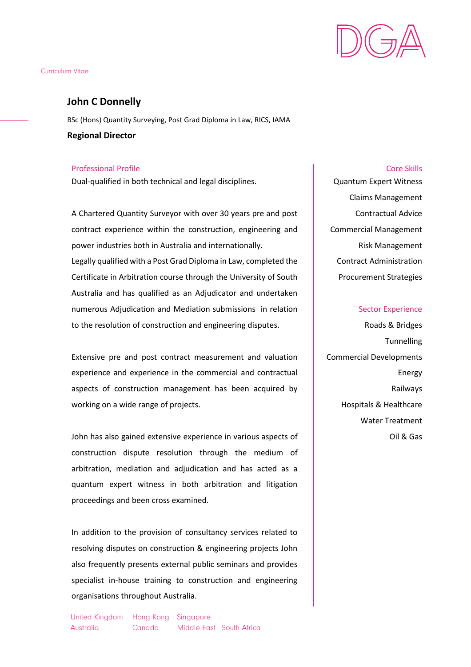

# **John C Donnelly**

BSc (Hons) Quantity Surveying, Post Grad Diploma in Law, RICS, IAMA **Regional Director**

# Professional Profile Core Skills

Dual-qualified in both technical and legal disciplines.

A Chartered Quantity Surveyor with over 30 years pre and post contract experience within the construction, engineering and power industries both in Australia and internationally. Legally qualified with a Post Grad Diploma in Law, completed the Certificate in Arbitration course through the University of South Australia and has qualified as an Adjudicator and undertaken

numerous Adjudication and Mediation submissions in relation to the resolution of construction and engineering disputes.

Extensive pre and post contract measurement and valuation experience and experience in the commercial and contractual aspects of construction management has been acquired by working on a wide range of projects.

John has also gained extensive experience in various aspects of construction dispute resolution through the medium of arbitration, mediation and adjudication and has acted as a quantum expert witness in both arbitration and litigation proceedings and been cross examined.

In addition to the provision of consultancy services related to resolving disputes on construction & engineering projects John also frequently presents external public seminars and provides specialist in-house training to construction and engineering organisations throughout Australia.

Quantum Expert Witness Claims Management Contractual Advice Commercial Management Risk Management Contract Administration Procurement Strategies

# Sector Experience

Roads & Bridges **Tunnelling** Commercial Developments Energy Railways Hospitals & Healthcare Water Treatment Oil & Gas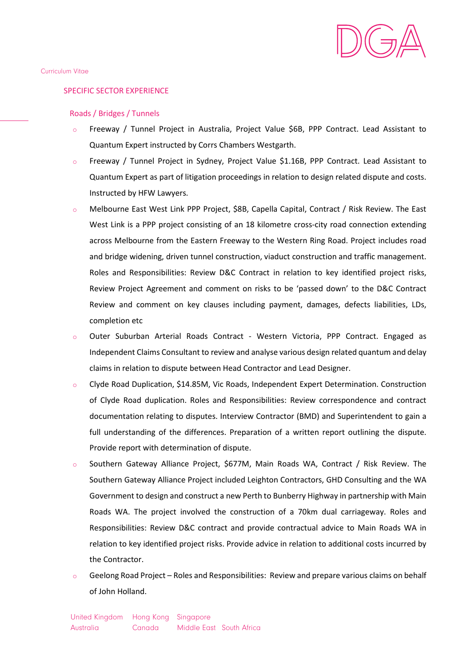

### SPECIFIC SECTOR EXPERIENCE

### Roads / Bridges / Tunnels

- o Freeway / Tunnel Project in Australia, Project Value \$6B, PPP Contract. Lead Assistant to Quantum Expert instructed by Corrs Chambers Westgarth.
- o Freeway / Tunnel Project in Sydney, Project Value \$1.16B, PPP Contract. Lead Assistant to Quantum Expert as part of litigation proceedings in relation to design related dispute and costs. Instructed by HFW Lawyers.
- o Melbourne East West Link PPP Project, \$8B, Capella Capital, Contract / Risk Review. The East West Link is a PPP project consisting of an 18 kilometre cross-city road connection extending across Melbourne from the Eastern Freeway to the Western Ring Road. Project includes road and bridge widening, driven tunnel construction, viaduct construction and traffic management. Roles and Responsibilities: Review D&C Contract in relation to key identified project risks, Review Project Agreement and comment on risks to be 'passed down' to the D&C Contract Review and comment on key clauses including payment, damages, defects liabilities, LDs, completion etc
- o Outer Suburban Arterial Roads Contract Western Victoria, PPP Contract. Engaged as Independent Claims Consultant to review and analyse various design related quantum and delay claims in relation to dispute between Head Contractor and Lead Designer.
- o Clyde Road Duplication, \$14.85M, Vic Roads, Independent Expert Determination. Construction of Clyde Road duplication. Roles and Responsibilities: Review correspondence and contract documentation relating to disputes. Interview Contractor (BMD) and Superintendent to gain a full understanding of the differences. Preparation of a written report outlining the dispute. Provide report with determination of dispute.
- o Southern Gateway Alliance Project, \$677M, Main Roads WA, Contract / Risk Review. The Southern Gateway Alliance Project included Leighton Contractors, GHD Consulting and the WA Government to design and construct a new Perth to Bunberry Highway in partnership with Main Roads WA. The project involved the construction of a 70km dual carriageway. Roles and Responsibilities: Review D&C contract and provide contractual advice to Main Roads WA in relation to key identified project risks. Provide advice in relation to additional costs incurred by the Contractor.
- Geelong Road Project Roles and Responsibilities: Review and prepare various claims on behalf of John Holland.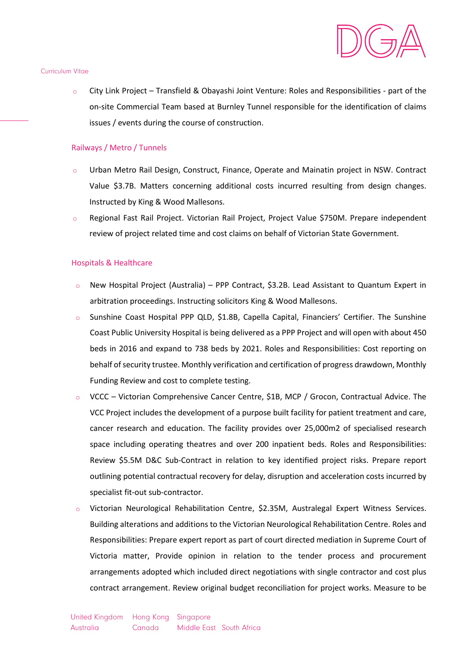

o City Link Project – Transfield & Obayashi Joint Venture: Roles and Responsibilities - part of the on-site Commercial Team based at Burnley Tunnel responsible for the identification of claims issues / events during the course of construction.

## Railways / Metro / Tunnels

- o Urban Metro Rail Design, Construct, Finance, Operate and Mainatin project in NSW. Contract Value \$3.7B. Matters concerning additional costs incurred resulting from design changes. Instructed by King & Wood Mallesons.
- o Regional Fast Rail Project. Victorian Rail Project, Project Value \$750M. Prepare independent review of project related time and cost claims on behalf of Victorian State Government.

#### Hospitals & Healthcare

- o New Hospital Project (Australia) PPP Contract, \$3.2B. Lead Assistant to Quantum Expert in arbitration proceedings. Instructing solicitors King & Wood Mallesons.
- o Sunshine Coast Hospital PPP QLD, \$1.8B, Capella Capital, Financiers' Certifier. The Sunshine Coast Public University Hospital is being delivered as a PPP Project and will open with about 450 beds in 2016 and expand to 738 beds by 2021. Roles and Responsibilities: Cost reporting on behalf of security trustee. Monthly verification and certification of progress drawdown, Monthly Funding Review and cost to complete testing.
- VCCC Victorian Comprehensive Cancer Centre, \$1B, MCP / Grocon, Contractual Advice. The VCC Project includes the development of a purpose built facility for patient treatment and care, cancer research and education. The facility provides over 25,000m2 of specialised research space including operating theatres and over 200 inpatient beds. Roles and Responsibilities: Review \$5.5M D&C Sub-Contract in relation to key identified project risks. Prepare report outlining potential contractual recovery for delay, disruption and acceleration costs incurred by specialist fit-out sub-contractor.
- o Victorian Neurological Rehabilitation Centre, \$2.35M, Australegal Expert Witness Services. Building alterations and additions to the Victorian Neurological Rehabilitation Centre. Roles and Responsibilities: Prepare expert report as part of court directed mediation in Supreme Court of Victoria matter, Provide opinion in relation to the tender process and procurement arrangements adopted which included direct negotiations with single contractor and cost plus contract arrangement. Review original budget reconciliation for project works. Measure to be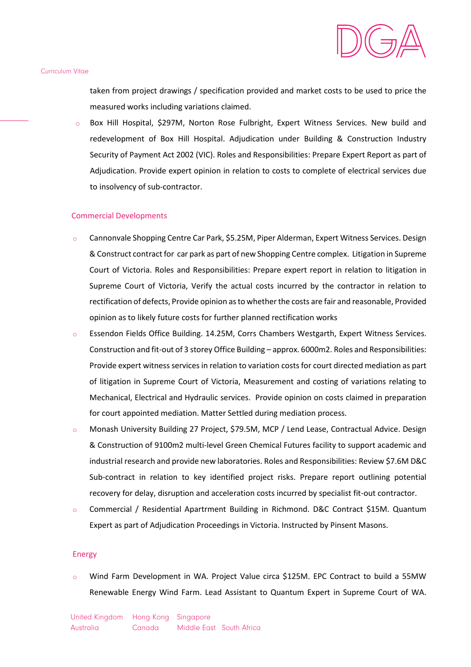

taken from project drawings / specification provided and market costs to be used to price the measured works including variations claimed.

Box Hill Hospital, \$297M, Norton Rose Fulbright, Expert Witness Services. New build and redevelopment of Box Hill Hospital. Adjudication under Building & Construction Industry Security of Payment Act 2002 (VIC). Roles and Responsibilities: Prepare Expert Report as part of Adjudication. Provide expert opinion in relation to costs to complete of electrical services due to insolvency of sub-contractor.

### Commercial Developments

- o Cannonvale Shopping Centre Car Park, \$5.25M, Piper Alderman, Expert Witness Services. Design & Construct contract for car park as part of new Shopping Centre complex. Litigation in Supreme Court of Victoria. Roles and Responsibilities: Prepare expert report in relation to litigation in Supreme Court of Victoria, Verify the actual costs incurred by the contractor in relation to rectification of defects, Provide opinion as to whether the costs are fair and reasonable, Provided opinion as to likely future costs for further planned rectification works
- o Essendon Fields Office Building. 14.25M, Corrs Chambers Westgarth, Expert Witness Services. Construction and fit-out of 3 storey Office Building – approx. 6000m2. Roles and Responsibilities: Provide expert witness services in relation to variation costs for court directed mediation as part of litigation in Supreme Court of Victoria, Measurement and costing of variations relating to Mechanical, Electrical and Hydraulic services. Provide opinion on costs claimed in preparation for court appointed mediation. Matter Settled during mediation process.
- o Monash University Building 27 Project, \$79.5M, MCP / Lend Lease, Contractual Advice. Design & Construction of 9100m2 multi-level Green Chemical Futures facility to support academic and industrial research and provide new laboratories. Roles and Responsibilities: Review \$7.6M D&C Sub-contract in relation to key identified project risks. Prepare report outlining potential recovery for delay, disruption and acceleration costs incurred by specialist fit-out contractor.
- o Commercial / Residential Apartrment Building in Richmond. D&C Contract \$15M. Quantum Expert as part of Adjudication Proceedings in Victoria. Instructed by Pinsent Masons.

#### Energy

Wind Farm Development in WA. Project Value circa \$125M. EPC Contract to build a 55MW Renewable Energy Wind Farm. Lead Assistant to Quantum Expert in Supreme Court of WA.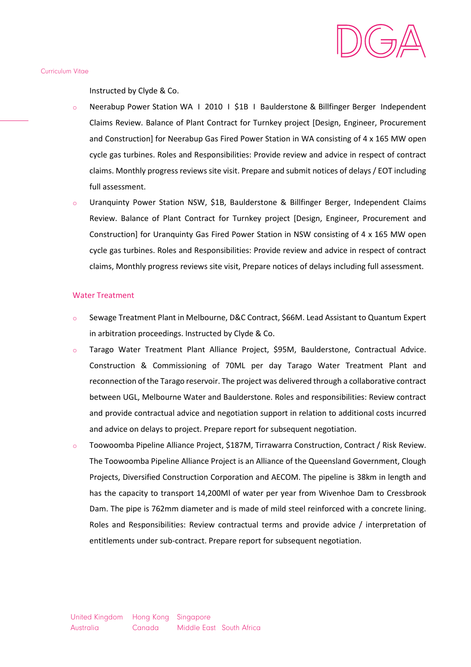

Instructed by Clyde & Co.

- o Neerabup Power Station WA І 2010 І \$1B І Baulderstone & Billfinger Berger Independent Claims Review. Balance of Plant Contract for Turnkey project [Design, Engineer, Procurement and Construction] for Neerabup Gas Fired Power Station in WA consisting of 4 x 165 MW open cycle gas turbines. Roles and Responsibilities: Provide review and advice in respect of contract claims. Monthly progress reviews site visit. Prepare and submit notices of delays / EOT including full assessment.
- o Uranquinty Power Station NSW, \$1B, Baulderstone & Billfinger Berger, Independent Claims Review. Balance of Plant Contract for Turnkey project [Design, Engineer, Procurement and Construction] for Uranquinty Gas Fired Power Station in NSW consisting of 4 x 165 MW open cycle gas turbines. Roles and Responsibilities: Provide review and advice in respect of contract claims, Monthly progress reviews site visit, Prepare notices of delays including full assessment.

#### Water Treatment

- Sewage Treatment Plant in Melbourne, D&C Contract, \$66M. Lead Assistant to Quantum Expert in arbitration proceedings. Instructed by Clyde & Co.
- o Tarago Water Treatment Plant Alliance Project, \$95M, Baulderstone, Contractual Advice. Construction & Commissioning of 70ML per day Tarago Water Treatment Plant and reconnection of the Tarago reservoir. The project was delivered through a collaborative contract between UGL, Melbourne Water and Baulderstone. Roles and responsibilities: Review contract and provide contractual advice and negotiation support in relation to additional costs incurred and advice on delays to project. Prepare report for subsequent negotiation.
- o Toowoomba Pipeline Alliance Project, \$187M, Tirrawarra Construction, Contract / Risk Review. The Toowoomba Pipeline Alliance Project is an Alliance of the Queensland Government, Clough Projects, Diversified Construction Corporation and AECOM. The pipeline is 38km in length and has the capacity to transport 14,200Ml of water per year from Wivenhoe Dam to Cressbrook Dam. The pipe is 762mm diameter and is made of mild steel reinforced with a concrete lining. Roles and Responsibilities: Review contractual terms and provide advice / interpretation of entitlements under sub-contract. Prepare report for subsequent negotiation.